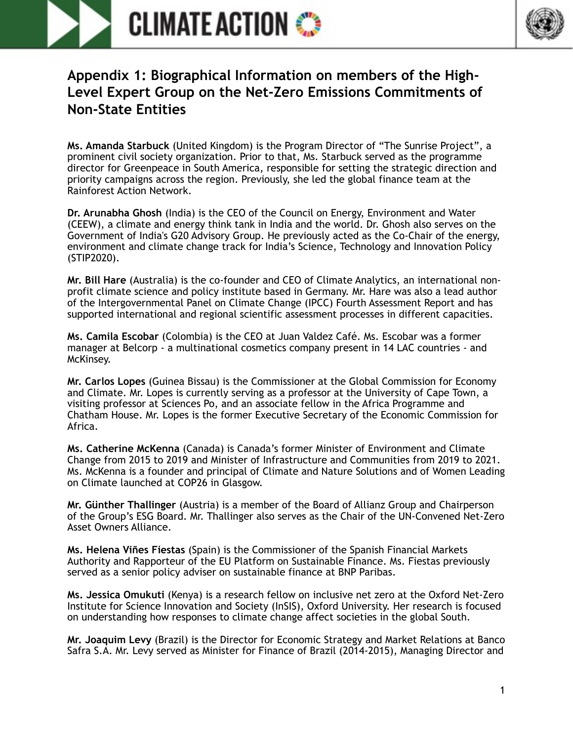



## **Appendix 1: Biographical Information on members of the High-Level Expert Group on the Net-Zero Emissions Commitments of Non-State Entities**

**Ms. Amanda Starbuck** (United Kingdom) is the Program Director of "The Sunrise Project", a prominent civil society organization. Prior to that, Ms. Starbuck served as the programme director for Greenpeace in South America, responsible for setting the strategic direction and priority campaigns across the region. Previously, she led the global finance team at the Rainforest Action Network.

**Dr. Arunabha Ghosh** (India) is the CEO of the Council on Energy, Environment and Water (CEEW), a climate and energy think tank in India and the world. Dr. Ghosh also serves on the Government of India's G20 Advisory Group. He previously acted as the Co-Chair of the energy, environment and climate change track for India's Science, Technology and Innovation Policy (STIP2020).

**Mr. Bill Hare** (Australia) is the co-founder and CEO of Climate Analytics, an international nonprofit climate science and policy institute based in Germany. Mr. Hare was also a lead author of the Intergovernmental Panel on Climate Change (IPCC) Fourth Assessment Report and has supported international and regional scientific assessment processes in different capacities.

**Ms. Camila Escobar** (Colombia) is the CEO at Juan Valdez Café. Ms. Escobar was a former manager at Belcorp - a multinational cosmetics company present in 14 LAC countries - and McKinsey.

**Mr. Carlos Lopes** (Guinea Bissau) is the Commissioner at the Global Commission for Economy and Climate. Mr. Lopes is currently serving as a professor at the University of Cape Town, a visiting professor at Sciences Po, and an associate fellow in the Africa Programme and Chatham House. Mr. Lopes is the former Executive Secretary of the Economic Commission for Africa.

**Ms. Catherine McKenna** (Canada) is Canada's former Minister of Environment and Climate Change from 2015 to 2019 and Minister of Infrastructure and Communities from 2019 to 2021. Ms. McKenna is a founder and principal of Climate and Nature Solutions and of Women Leading on Climate launched at COP26 in Glasgow.

**Mr. Günther Thallinger** (Austria) is a member of the Board of Allianz Group and Chairperson of the Group's ESG Board. Mr. Thallinger also serves as the Chair of the UN-Convened Net-Zero Asset Owners Alliance.

**Ms. Helena Viñes Fiestas** (Spain) is the Commissioner of the Spanish Financial Markets Authority and Rapporteur of the EU Platform on Sustainable Finance. Ms. Fiestas previously served as a senior policy adviser on sustainable finance at BNP Paribas.

**Ms. Jessica Omukuti** (Kenya) is a research fellow on inclusive net zero at the Oxford Net-Zero Institute for Science Innovation and Society (InSIS), Oxford University. Her research is focused on understanding how responses to climate change affect societies in the global South.

**Mr. Joaquim Levy** (Brazil) is the Director for Economic Strategy and Market Relations at Banco Safra S.A. Mr. Levy served as Minister for Finance of Brazil (2014-2015), Managing Director and